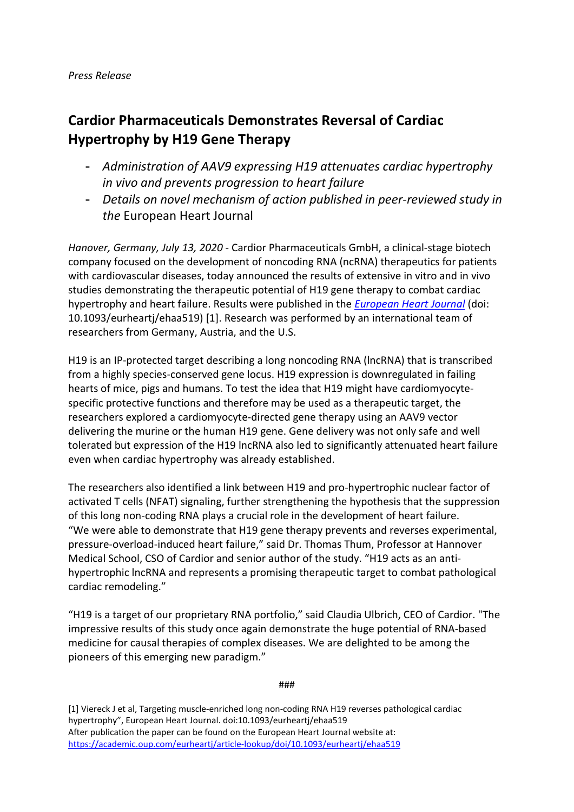## *Press Release*

# **Cardior Pharmaceuticals Demonstrates Reversal of Cardiac Hypertrophy by H19 Gene Therapy**

- *Administration of AAV9 expressing H19 attenuates cardiac hypertrophy in vivo and prevents progression to heart failure*
- *Details on novel mechanism of action published in peer-reviewed study in the* European Heart Journal

*Hanover, Germany, July 13, 2020* - Cardior Pharmaceuticals GmbH, a clinical-stage biotech company focused on the development of noncoding RNA (ncRNA) therapeutics for patients with cardiovascular diseases, today announced the results of extensive in vitro and in vivo studies demonstrating the therapeutic potential of H19 gene therapy to combat cardiac hypertrophy and heart failure. Results were published in the *[European Heart Journal](https://academic.oup.com/eurheartj/article-lookup/doi/10.1093/eurheartj/ehaa519)* (doi: 10.1093/eurheartj/ehaa519) [1]. Research was performed by an international team of researchers from Germany, Austria, and the U.S.

H19 is an IP-protected target describing a long noncoding RNA (lncRNA) that is transcribed from a highly species-conserved gene locus. H19 expression is downregulated in failing hearts of mice, pigs and humans. To test the idea that H19 might have cardiomyocytespecific protective functions and therefore may be used as a therapeutic target, the researchers explored a cardiomyocyte-directed gene therapy using an AAV9 vector delivering the murine or the human H19 gene. Gene delivery was not only safe and well tolerated but expression of the H19 lncRNA also led to significantly attenuated heart failure even when cardiac hypertrophy was already established.

The researchers also identified a link between H19 and pro-hypertrophic nuclear factor of activated T cells (NFAT) signaling, further strengthening the hypothesis that the suppression of this long non-coding RNA plays a crucial role in the development of heart failure. "We were able to demonstrate that H19 gene therapy prevents and reverses experimental, pressure-overload-induced heart failure," said Dr. Thomas Thum, Professor at Hannover Medical School, CSO of Cardior and senior author of the study. "H19 acts as an antihypertrophic lncRNA and represents a promising therapeutic target to combat pathological cardiac remodeling."

"H19 is a target of our proprietary RNA portfolio," said Claudia Ulbrich, CEO of Cardior. "The impressive results of this study once again demonstrate the huge potential of RNA-based medicine for causal therapies of complex diseases. We are delighted to be among the pioneers of this emerging new paradigm."

###

[1] Viereck J et al, Targeting muscle-enriched long non-coding RNA H19 reverses pathological cardiac hypertrophy", European Heart Journal. doi:10.1093/eurheartj/ehaa519 After publication the paper can be found on the European Heart Journal website at: <https://academic.oup.com/eurheartj/article-lookup/doi/10.1093/eurheartj/ehaa519>